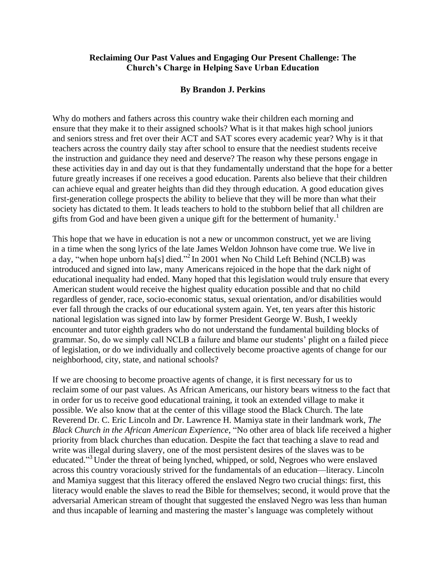## **Reclaiming Our Past Values and Engaging Our Present Challenge: The Church's Charge in Helping Save Urban Education**

## **By Brandon J. Perkins**

Why do mothers and fathers across this country wake their children each morning and ensure that they make it to their assigned schools? What is it that makes high school juniors and seniors stress and fret over their ACT and SAT scores every academic year? Why is it that teachers across the country daily stay after school to ensure that the neediest students receive the instruction and guidance they need and deserve? The reason why these persons engage in these activities day in and day out is that they fundamentally understand that the hope for a better future greatly increases if one receives a good education. Parents also believe that their children can achieve equal and greater heights than did they through education. A good education gives first-generation college prospects the ability to believe that they will be more than what their society has dictated to them. It leads teachers to hold to the stubborn belief that all children are gifts from God and have been given a unique gift for the betterment of humanity.<sup>1</sup>

This hope that we have in education is not a new or uncommon construct, yet we are living in a time when the song lyrics of the late James Weldon Johnson have come true. We live in a day, "when hope unborn ha[s] died."<sup>2</sup> In 2001 when No Child Left Behind (NCLB) was introduced and signed into law, many Americans rejoiced in the hope that the dark night of educational inequality had ended. Many hoped that this legislation would truly ensure that every American student would receive the highest quality education possible and that no child regardless of gender, race, socio-economic status, sexual orientation, and/or disabilities would ever fall through the cracks of our educational system again. Yet, ten years after this historic national legislation was signed into law by former President George W. Bush, I weekly encounter and tutor eighth graders who do not understand the fundamental building blocks of grammar. So, do we simply call NCLB a failure and blame our students' plight on a failed piece of legislation, or do we individually and collectively become proactive agents of change for our neighborhood, city, state, and national schools?

If we are choosing to become proactive agents of change, it is first necessary for us to reclaim some of our past values. As African Americans, our history bears witness to the fact that in order for us to receive good educational training, it took an extended village to make it possible. We also know that at the center of this village stood the Black Church. The late Reverend Dr. C. Eric Lincoln and Dr. Lawrence H. Mamiya state in their landmark work, *The Black Church in the African American Experience*, "No other area of black life received a higher priority from black churches than education. Despite the fact that teaching a slave to read and write was illegal during slavery, one of the most persistent desires of the slaves was to be educated."<sup>3</sup> Under the threat of being lynched, whipped, or sold, Negroes who were enslaved across this country voraciously strived for the fundamentals of an education—literacy. Lincoln and Mamiya suggest that this literacy offered the enslaved Negro two crucial things: first, this literacy would enable the slaves to read the Bible for themselves; second, it would prove that the adversarial American stream of thought that suggested the enslaved Negro was less than human and thus incapable of learning and mastering the master's language was completely without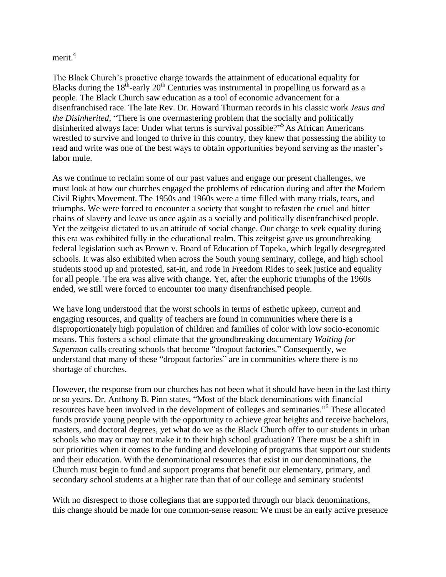merit.<sup>4</sup>

The Black Church's proactive charge towards the attainment of educational equality for Blacks during the  $18<sup>th</sup>$ -early  $20<sup>th</sup>$  Centuries was instrumental in propelling us forward as a people. The Black Church saw education as a tool of economic advancement for a disenfranchised race. The late Rev. Dr. Howard Thurman records in his classic work *Jesus and the Disinherited*, "There is one overmastering problem that the socially and politically disinherited always face: Under what terms is survival possible?" <sup>5</sup> As African Americans wrestled to survive and longed to thrive in this country, they knew that possessing the ability to read and write was one of the best ways to obtain opportunities beyond serving as the master's labor mule.

As we continue to reclaim some of our past values and engage our present challenges, we must look at how our churches engaged the problems of education during and after the Modern Civil Rights Movement. The 1950s and 1960s were a time filled with many trials, tears, and triumphs. We were forced to encounter a society that sought to refasten the cruel and bitter chains of slavery and leave us once again as a socially and politically disenfranchised people. Yet the zeitgeist dictated to us an attitude of social change. Our charge to seek equality during this era was exhibited fully in the educational realm. This zeitgeist gave us groundbreaking federal legislation such as Brown v. Board of Education of Topeka, which legally desegregated schools. It was also exhibited when across the South young seminary, college, and high school students stood up and protested, sat-in, and rode in Freedom Rides to seek justice and equality for all people. The era was alive with change. Yet, after the euphoric triumphs of the 1960s ended, we still were forced to encounter too many disenfranchised people.

We have long understood that the worst schools in terms of esthetic upkeep, current and engaging resources, and quality of teachers are found in communities where there is a disproportionately high population of children and families of color with low socio-economic means. This fosters a school climate that the groundbreaking documentary *Waiting for Superman* calls creating schools that become "dropout factories." Consequently, we understand that many of these "dropout factories" are in communities where there is no shortage of churches.

However, the response from our churches has not been what it should have been in the last thirty or so years. Dr. Anthony B. Pinn states, "Most of the black denominations with financial resources have been involved in the development of colleges and seminaries." 6 These allocated funds provide young people with the opportunity to achieve great heights and receive bachelors, masters, and doctoral degrees, yet what do we as the Black Church offer to our students in urban schools who may or may not make it to their high school graduation? There must be a shift in our priorities when it comes to the funding and developing of programs that support our students and their education. With the denominational resources that exist in our denominations, the Church must begin to fund and support programs that benefit our elementary, primary, and secondary school students at a higher rate than that of our college and seminary students!

With no disrespect to those collegians that are supported through our black denominations, this change should be made for one common-sense reason: We must be an early active presence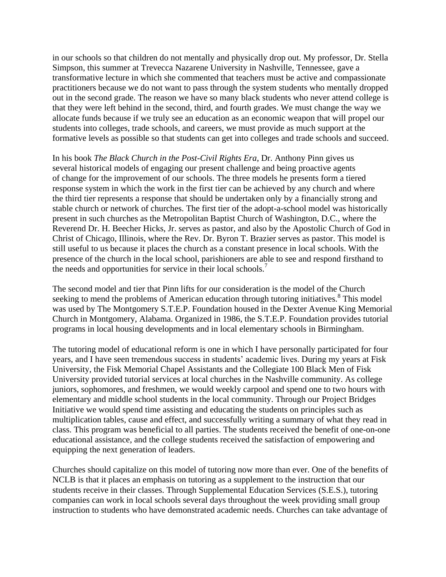in our schools so that children do not mentally and physically drop out. My professor, Dr. Stella Simpson, this summer at Trevecca Nazarene University in Nashville, Tennessee, gave a transformative lecture in which she commented that teachers must be active and compassionate practitioners because we do not want to pass through the system students who mentally dropped out in the second grade. The reason we have so many black students who never attend college is that they were left behind in the second, third, and fourth grades. We must change the way we allocate funds because if we truly see an education as an economic weapon that will propel our students into colleges, trade schools, and careers, we must provide as much support at the formative levels as possible so that students can get into colleges and trade schools and succeed.

In his book *The Black Church in the Post-Civil Rights Era*, Dr. Anthony Pinn gives us several historical models of engaging our present challenge and being proactive agents of change for the improvement of our schools. The three models he presents form a tiered response system in which the work in the first tier can be achieved by any church and where the third tier represents a response that should be undertaken only by a financially strong and stable church or network of churches. The first tier of the adopt-a-school model was historically present in such churches as the Metropolitan Baptist Church of Washington, D.C., where the Reverend Dr. H. Beecher Hicks, Jr. serves as pastor, and also by the Apostolic Church of God in Christ of Chicago, Illinois, where the Rev. Dr. Byron T. Brazier serves as pastor. This model is still useful to us because it places the church as a constant presence in local schools. With the presence of the church in the local school, parishioners are able to see and respond firsthand to the needs and opportunities for service in their local schools.<sup>7</sup>

The second model and tier that Pinn lifts for our consideration is the model of the Church seeking to mend the problems of American education through tutoring initiatives.<sup>8</sup> This model was used by The Montgomery S.T.E.P. Foundation housed in the Dexter Avenue King Memorial Church in Montgomery, Alabama. Organized in 1986, the S.T.E.P. Foundation provides tutorial programs in local housing developments and in local elementary schools in Birmingham.

The tutoring model of educational reform is one in which I have personally participated for four years, and I have seen tremendous success in students' academic lives. During my years at Fisk University, the Fisk Memorial Chapel Assistants and the Collegiate 100 Black Men of Fisk University provided tutorial services at local churches in the Nashville community. As college juniors, sophomores, and freshmen, we would weekly carpool and spend one to two hours with elementary and middle school students in the local community. Through our Project Bridges Initiative we would spend time assisting and educating the students on principles such as multiplication tables, cause and effect, and successfully writing a summary of what they read in class. This program was beneficial to all parties. The students received the benefit of one-on-one educational assistance, and the college students received the satisfaction of empowering and equipping the next generation of leaders.

Churches should capitalize on this model of tutoring now more than ever. One of the benefits of NCLB is that it places an emphasis on tutoring as a supplement to the instruction that our students receive in their classes. Through Supplemental Education Services (S.E.S.), tutoring companies can work in local schools several days throughout the week providing small group instruction to students who have demonstrated academic needs. Churches can take advantage of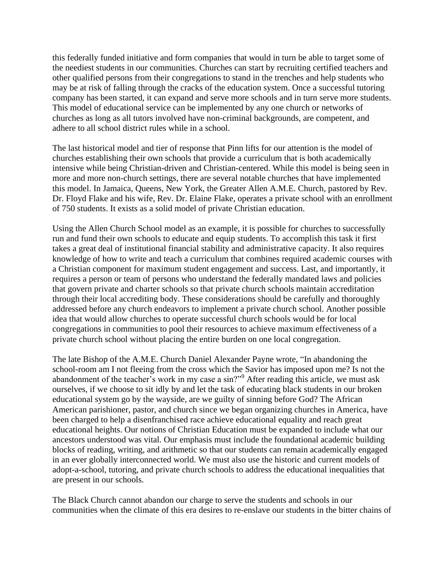this federally funded initiative and form companies that would in turn be able to target some of the neediest students in our communities. Churches can start by recruiting certified teachers and other qualified persons from their congregations to stand in the trenches and help students who may be at risk of falling through the cracks of the education system. Once a successful tutoring company has been started, it can expand and serve more schools and in turn serve more students. This model of educational service can be implemented by any one church or networks of churches as long as all tutors involved have non-criminal backgrounds, are competent, and adhere to all school district rules while in a school.

The last historical model and tier of response that Pinn lifts for our attention is the model of churches establishing their own schools that provide a curriculum that is both academically intensive while being Christian-driven and Christian-centered. While this model is being seen in more and more non-church settings, there are several notable churches that have implemented this model. In Jamaica, Queens, New York, the Greater Allen A.M.E. Church, pastored by Rev. Dr. Floyd Flake and his wife, Rev. Dr. Elaine Flake, operates a private school with an enrollment of 750 students. It exists as a solid model of private Christian education.

Using the Allen Church School model as an example, it is possible for churches to successfully run and fund their own schools to educate and equip students. To accomplish this task it first takes a great deal of institutional financial stability and administrative capacity. It also requires knowledge of how to write and teach a curriculum that combines required academic courses with a Christian component for maximum student engagement and success. Last, and importantly, it requires a person or team of persons who understand the federally mandated laws and policies that govern private and charter schools so that private church schools maintain accreditation through their local accrediting body. These considerations should be carefully and thoroughly addressed before any church endeavors to implement a private church school. Another possible idea that would allow churches to operate successful church schools would be for local congregations in communities to pool their resources to achieve maximum effectiveness of a private church school without placing the entire burden on one local congregation.

The late Bishop of the A.M.E. Church Daniel Alexander Payne wrote, "In abandoning the school-room am I not fleeing from the cross which the Savior has imposed upon me? Is not the abandonment of the teacher's work in my case a sin?"<sup>9</sup> After reading this article, we must ask ourselves, if we choose to sit idly by and let the task of educating black students in our broken educational system go by the wayside, are we guilty of sinning before God? The African American parishioner, pastor, and church since we began organizing churches in America, have been charged to help a disenfranchised race achieve educational equality and reach great educational heights. Our notions of Christian Education must be expanded to include what our ancestors understood was vital. Our emphasis must include the foundational academic building blocks of reading, writing, and arithmetic so that our students can remain academically engaged in an ever globally interconnected world. We must also use the historic and current models of adopt-a-school, tutoring, and private church schools to address the educational inequalities that are present in our schools.

The Black Church cannot abandon our charge to serve the students and schools in our communities when the climate of this era desires to re-enslave our students in the bitter chains of